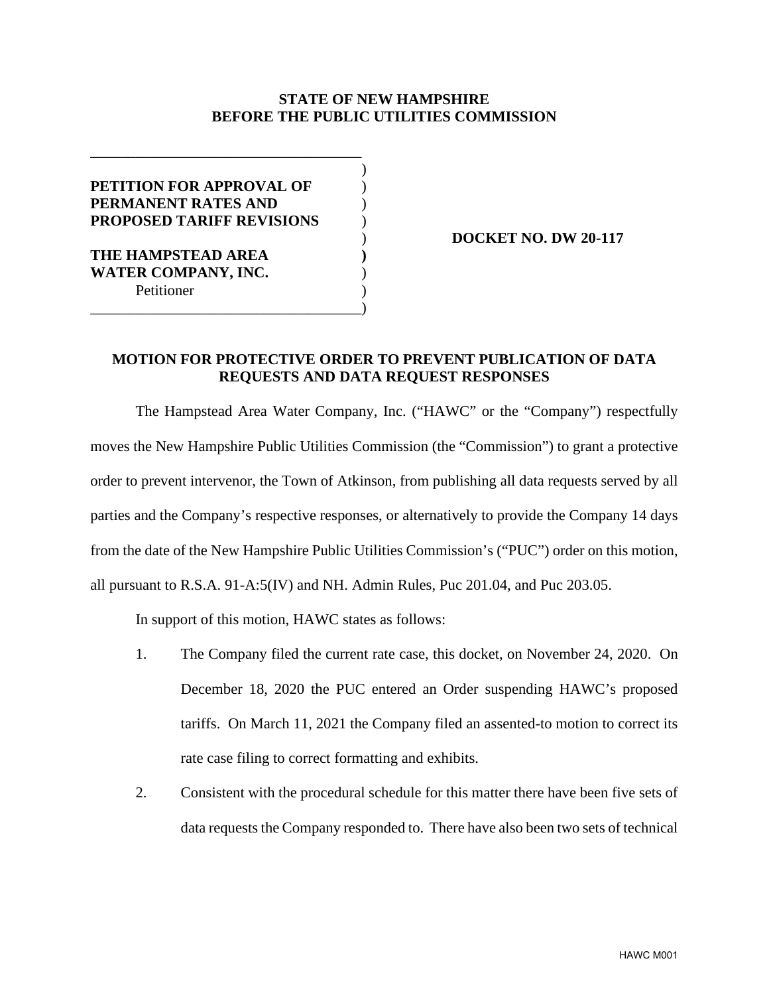## **STATE OF NEW HAMPSHIRE BEFORE THE PUBLIC UTILITIES COMMISSION**

| <b>PETITION FOR APPROVAL OF</b>  |  |
|----------------------------------|--|
| PERMANENT RATES AND              |  |
| <b>PROPOSED TARIFF REVISIONS</b> |  |
|                                  |  |
| THE HAMPSTEAD AREA               |  |
| <b>WATER COMPANY, INC.</b>       |  |
| Petitioner                       |  |
|                                  |  |

) **DOCKET NO. DW 20-117**

## **MOTION FOR PROTECTIVE ORDER TO PREVENT PUBLICATION OF DATA REQUESTS AND DATA REQUEST RESPONSES**

The Hampstead Area Water Company, Inc. ("HAWC" or the "Company") respectfully moves the New Hampshire Public Utilities Commission (the "Commission") to grant a protective order to prevent intervenor, the Town of Atkinson, from publishing all data requests served by all parties and the Company's respective responses, or alternatively to provide the Company 14 days from the date of the New Hampshire Public Utilities Commission's ("PUC") order on this motion, all pursuant to R.S.A. 91-A:5(IV) and NH. Admin Rules, Puc 201.04, and Puc 203.05.

In support of this motion, HAWC states as follows:

- 1. The Company filed the current rate case, this docket, on November 24, 2020. On December 18, 2020 the PUC entered an Order suspending HAWC's proposed tariffs. On March 11, 2021 the Company filed an assented-to motion to correct its rate case filing to correct formatting and exhibits.
- 2. Consistent with the procedural schedule for this matter there have been five sets of data requests the Company responded to. There have also been two sets of technical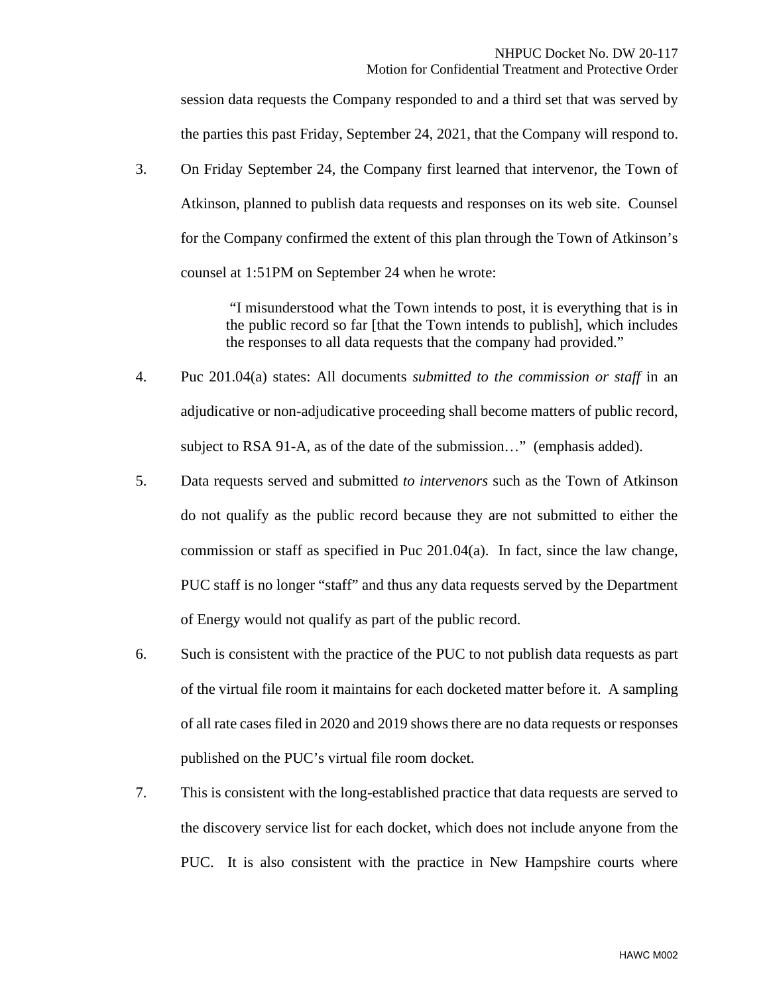session data requests the Company responded to and a third set that was served by the parties this past Friday, September 24, 2021, that the Company will respond to.

3. On Friday September 24, the Company first learned that intervenor, the Town of Atkinson, planned to publish data requests and responses on its web site. Counsel for the Company confirmed the extent of this plan through the Town of Atkinson's counsel at 1:51PM on September 24 when he wrote:

> "I misunderstood what the Town intends to post, it is everything that is in the public record so far [that the Town intends to publish], which includes the responses to all data requests that the company had provided."

- 4. Puc 201.04(a) states: All documents *submitted to the commission or staff* in an adjudicative or non-adjudicative proceeding shall become matters of public record, subject to RSA 91-A, as of the date of the submission…" (emphasis added).
- 5. Data requests served and submitted *to intervenors* such as the Town of Atkinson do not qualify as the public record because they are not submitted to either the commission or staff as specified in Puc 201.04(a). In fact, since the law change, PUC staff is no longer "staff" and thus any data requests served by the Department of Energy would not qualify as part of the public record.
- 6. Such is consistent with the practice of the PUC to not publish data requests as part of the virtual file room it maintains for each docketed matter before it. A sampling of all rate cases filed in 2020 and 2019 shows there are no data requests or responses published on the PUC's virtual file room docket.
- 7. This is consistent with the long-established practice that data requests are served to the discovery service list for each docket, which does not include anyone from the PUC. It is also consistent with the practice in New Hampshire courts where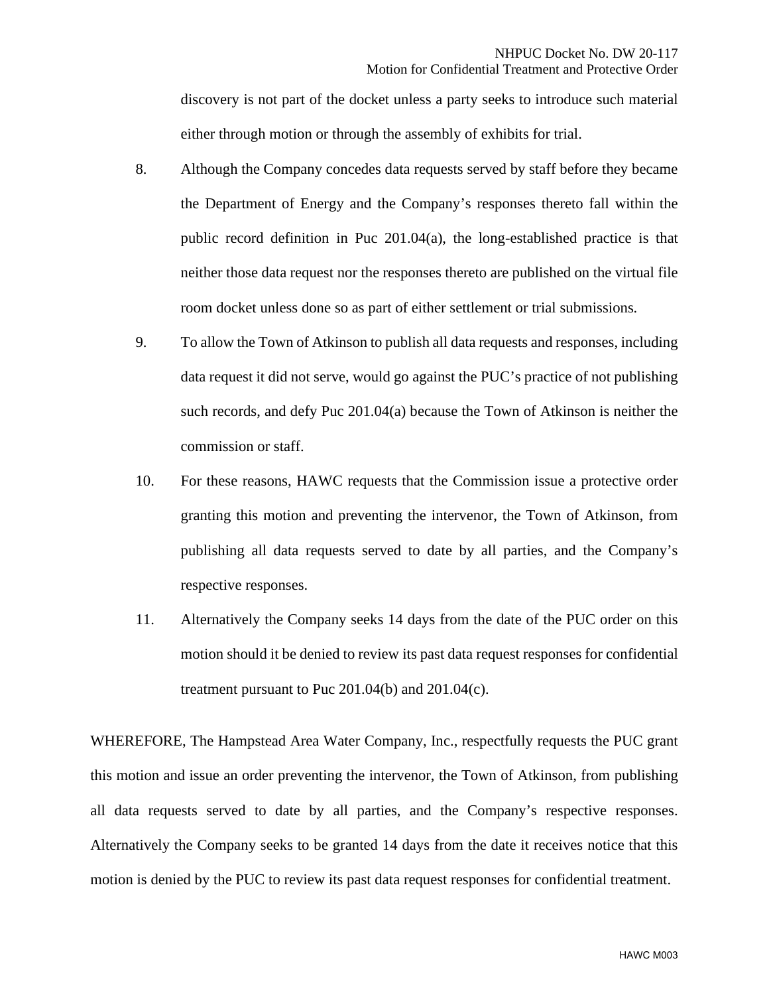discovery is not part of the docket unless a party seeks to introduce such material either through motion or through the assembly of exhibits for trial.

- 8. Although the Company concedes data requests served by staff before they became the Department of Energy and the Company's responses thereto fall within the public record definition in Puc  $201.04(a)$ , the long-established practice is that neither those data request nor the responses thereto are published on the virtual file room docket unless done so as part of either settlement or trial submissions.
- 9. To allow the Town of Atkinson to publish all data requests and responses, including data request it did not serve, would go against the PUC's practice of not publishing such records, and defy Puc 201.04(a) because the Town of Atkinson is neither the commission or staff.
- 10. For these reasons, HAWC requests that the Commission issue a protective order granting this motion and preventing the intervenor, the Town of Atkinson, from publishing all data requests served to date by all parties, and the Company's respective responses.
- 11. Alternatively the Company seeks 14 days from the date of the PUC order on this motion should it be denied to review its past data request responses for confidential treatment pursuant to Puc  $201.04(b)$  and  $201.04(c)$ .

WHEREFORE, The Hampstead Area Water Company, Inc., respectfully requests the PUC grant this motion and issue an order preventing the intervenor, the Town of Atkinson, from publishing all data requests served to date by all parties, and the Company's respective responses. Alternatively the Company seeks to be granted 14 days from the date it receives notice that this motion is denied by the PUC to review its past data request responses for confidential treatment.